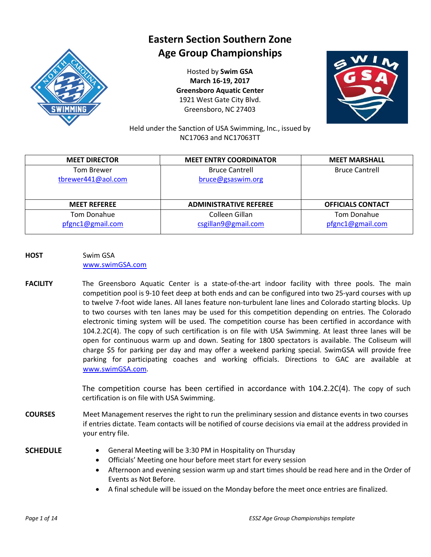

# **Eastern Section Southern Zone Age Group Championships**

Hosted by **Swim GSA March 16-19, 2017 Greensboro Aquatic Center** 1921 West Gate City Blvd. Greensboro, NC 27403



Held under the Sanction of USA Swimming, Inc., issued by NC17063 and NC17063TT

| <b>MEET DIRECTOR</b> | <b>MEET ENTRY COORDINATOR</b> | <b>MEET MARSHALL</b>     |
|----------------------|-------------------------------|--------------------------|
| <b>Tom Brewer</b>    | <b>Bruce Cantrell</b>         | <b>Bruce Cantrell</b>    |
| tbrewer441@aol.com   | bruce@gsaswim.org             |                          |
|                      |                               |                          |
| <b>MEET REFEREE</b>  | <b>ADMINISTRATIVE REFEREE</b> | <b>OFFICIALS CONTACT</b> |
| Tom Donahue          | Colleen Gillan                | Tom Donahue              |
| pfgnc1@gmail.com     | csgillan9@gmail.com           | pfgnc1@gmail.com         |

- **HOST** Swim GSA [www.swimGSA.com](http://www.swimgsa.com/)
- **FACILITY** The Greensboro Aquatic Center is a state-of-the-art indoor facility with three pools. The main competition pool is 9-10 feet deep at both ends and can be configured into two 25-yard courses with up to twelve 7-foot wide lanes. All lanes feature non-turbulent lane lines and Colorado starting blocks. Up to two courses with ten lanes may be used for this competition depending on entries. The Colorado electronic timing system will be used. The competition course has been certified in accordance with 104.2.2C(4). The copy of such certification is on file with USA Swimming. At least three lanes will be open for continuous warm up and down. Seating for 1800 spectators is available. The Coliseum will charge \$5 for parking per day and may offer a weekend parking special. SwimGSA will provide free parking for participating coaches and working officials. Directions to GAC are available at [www.swimGSA.c](http://www.swimgsa./)om.

The competition course has been certified in accordance with 104.2.2C(4). The copy of such certification is on file with USA Swimming.

**COURSES** Meet Management reserves the right to run the preliminary session and distance events in two courses if entries dictate. Team contacts will be notified of course decisions via email at the address provided in your entry file.

- **SCHEDULE** General Meeting will be 3:30 PM in Hospitality on Thursday
	- · Officials' Meeting one hour before meet start for every session
	- · Afternoon and evening session warm up and start times should be read here and in the Order of Events as Not Before.
	- · A final schedule will be issued on the Monday before the meet once entries are finalized.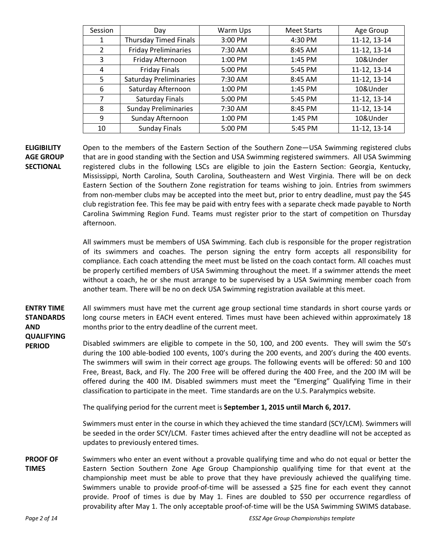| Session        | Day                           | Warm Ups | <b>Meet Starts</b> | Age Group    |
|----------------|-------------------------------|----------|--------------------|--------------|
| 1              | <b>Thursday Timed Finals</b>  | 3:00 PM  | 4:30 PM            | 11-12, 13-14 |
| $\overline{2}$ | <b>Friday Preliminaries</b>   | 7:30 AM  | 8:45 AM            | 11-12, 13-14 |
| 3              | Friday Afternoon              | 1:00 PM  | 1:45 PM            | 10&Under     |
| 4              | <b>Friday Finals</b>          | 5:00 PM  | 5:45 PM            | 11-12, 13-14 |
| 5              | <b>Saturday Preliminaries</b> | 7:30 AM  | 8:45 AM            | 11-12, 13-14 |
| 6              | Saturday Afternoon            | 1:00 PM  | 1:45 PM            | 10&Under     |
| 7              | Saturday Finals               | 5:00 PM  | 5:45 PM            | 11-12, 13-14 |
| 8              | <b>Sunday Preliminaries</b>   | 7:30 AM  | 8:45 PM            | 11-12, 13-14 |
| 9              | Sunday Afternoon              | 1:00 PM  | 1:45 PM            | 10&Under     |
| 10             | <b>Sunday Finals</b>          | 5:00 PM  | 5:45 PM            | 11-12, 13-14 |

#### **ELIGIBILITY AGE GROUP SECTIONAL**

Open to the members of the Eastern Section of the Southern Zone—USA Swimming registered clubs that are in good standing with the Section and USA Swimming registered swimmers. All USA Swimming registered clubs in the following LSCs are eligible to join the Eastern Section: Georgia, Kentucky, Mississippi, North Carolina, South Carolina, Southeastern and West Virginia. There will be on deck Eastern Section of the Southern Zone registration for teams wishing to join. Entries from swimmers from non-member clubs may be accepted into the meet but, prior to entry deadline, must pay the \$45 club registration fee. This fee may be paid with entry fees with a separate check made payable to North Carolina Swimming Region Fund. Teams must register prior to the start of competition on Thursday afternoon.

All swimmers must be members of USA Swimming. Each club is responsible for the proper registration of its swimmers and coaches. The person signing the entry form accepts all responsibility for compliance. Each coach attending the meet must be listed on the coach contact form. All coaches must be properly certified members of USA Swimming throughout the meet. If a swimmer attends the meet without a coach, he or she must arrange to be supervised by a USA Swimming member coach from another team. There will be no on deck USA Swimming registration available at this meet.

**ENTRY TIME STANDARDS AND**  All swimmers must have met the current age group sectional time standards in short course yards or long course meters in EACH event entered. Times must have been achieved within approximately 18 months prior to the entry deadline of the current meet.

**QUALIFYING PERIOD**

Disabled swimmers are eligible to compete in the 50, 100, and 200 events. They will swim the 50's during the 100 able-bodied 100 events, 100's during the 200 events, and 200's during the 400 events. The swimmers will swim in their correct age groups. The following events will be offered: 50 and 100 Free, Breast, Back, and Fly. The 200 Free will be offered during the 400 Free, and the 200 IM will be offered during the 400 IM. Disabled swimmers must meet the "Emerging" Qualifying Time in their classification to participate in the meet. Time standards are on the U.S. Paralympics website.

The qualifying period for the current meet is **September 1, 2015 until March 6, 2017.**

Swimmers must enter in the course in which they achieved the time standard (SCY/LCM). Swimmers will be seeded in the order SCY/LCM. Faster times achieved after the entry deadline will not be accepted as updates to previously entered times.

**PROOF OF TIMES** Swimmers who enter an event without a provable qualifying time and who do not equal or better the Eastern Section Southern Zone Age Group Championship qualifying time for that event at the championship meet must be able to prove that they have previously achieved the qualifying time. Swimmers unable to provide proof-of-time will be assessed a \$25 fine for each event they cannot provide. Proof of times is due by May 1. Fines are doubled to \$50 per occurrence regardless of provability after May 1. The only acceptable proof-of-time will be the USA Swimming SWIMS database.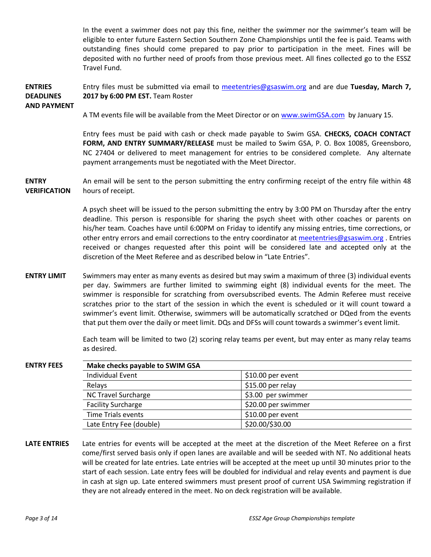In the event a swimmer does not pay this fine, neither the swimmer nor the swimmer's team will be eligible to enter future Eastern Section Southern Zone Championships until the fee is paid. Teams with outstanding fines should come prepared to pay prior to participation in the meet. Fines will be deposited with no further need of proofs from those previous meet. All fines collected go to the ESSZ Travel Fund.

#### **ENTRIES DEADLINES AND PAYMENT** Entry files must be submitted via email to [meetentries@gsaswim.org](mailto:meetentries@gsaswim.org) and are due **Tuesday, March 7, 2017 by 6:00 PM EST.** Team Roster

A TM events file will be available from the Meet Director or on [www.swimGSA.com](http://www.swimgsa.com/) by January 15.

Entry fees must be paid with cash or check made payable to Swim GSA. **CHECKS, COACH CONTACT FORM, AND ENTRY SUMMARY/RELEASE** must be mailed to Swim GSA, P. O. Box 10085, Greensboro, NC 27404 or delivered to meet management for entries to be considered complete. Any alternate payment arrangements must be negotiated with the Meet Director.

**ENTRY VERIFICATION** An email will be sent to the person submitting the entry confirming receipt of the entry file within 48 hours of receipt.

> A psych sheet will be issued to the person submitting the entry by 3:00 PM on Thursday after the entry deadline. This person is responsible for sharing the psych sheet with other coaches or parents on his/her team. Coaches have until 6:00PM on Friday to identify any missing entries, time corrections, or other entry errors and email corrections to the entry coordinator at [meetentries@gsaswim.org](mailto:meetentries@gsaswim.org) . Entries received or changes requested after this point will be considered late and accepted only at the discretion of the Meet Referee and as described below in "Late Entries".

**ENTRY LIMIT** Swimmers may enter as many events as desired but may swim a maximum of three (3) individual events per day. Swimmers are further limited to swimming eight (8) individual events for the meet. The swimmer is responsible for scratching from oversubscribed events. The Admin Referee must receive scratches prior to the start of the session in which the event is scheduled or it will count toward a swimmer's event limit. Otherwise, swimmers will be automatically scratched or DQed from the events that put them over the daily or meet limit. DQs and DFSs will count towards a swimmer's event limit.

> Each team will be limited to two (2) scoring relay teams per event, but may enter as many relay teams as desired.

| <b>ENTRY FEES</b> | Make checks payable to SWIM GSA |                     |  |
|-------------------|---------------------------------|---------------------|--|
|                   | <b>Individual Event</b>         | $$10.00$ per event  |  |
|                   | Relays                          | \$15.00 per relay   |  |
|                   | <b>NC Travel Surcharge</b>      | \$3.00 per swimmer  |  |
|                   | <b>Facility Surcharge</b>       | \$20.00 per swimmer |  |
|                   | Time Trials events              | \$10.00 per event   |  |
|                   | Late Entry Fee (double)         | \$20.00/\$30.00     |  |

**LATE ENTRIES** Late entries for events will be accepted at the meet at the discretion of the Meet Referee on a first come/first served basis only if open lanes are available and will be seeded with NT. No additional heats will be created for late entries. Late entries will be accepted at the meet up until 30 minutes prior to the start of each session. Late entry fees will be doubled for individual and relay events and payment is due in cash at sign up. Late entered swimmers must present proof of current USA Swimming registration if they are not already entered in the meet. No on deck registration will be available.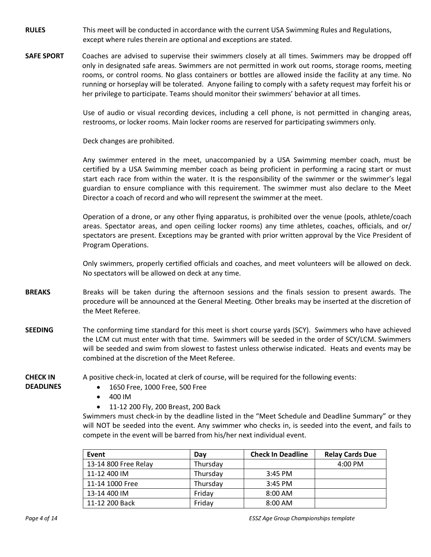- **RULES** This meet will be conducted in accordance with the current USA Swimming Rules and Regulations, except where rules therein are optional and exceptions are stated.
- **SAFE SPORT** Coaches are advised to supervise their swimmers closely at all times. Swimmers may be dropped off only in designated safe areas. Swimmers are not permitted in work out rooms, storage rooms, meeting rooms, or control rooms. No glass containers or bottles are allowed inside the facility at any time. No running or horseplay will be tolerated. Anyone failing to comply with a safety request may forfeit his or her privilege to participate. Teams should monitor their swimmers' behavior at all times.

Use of audio or visual recording devices, including a cell phone, is not permitted in changing areas, restrooms, or locker rooms. Main locker rooms are reserved for participating swimmers only.

Deck changes are prohibited.

Any swimmer entered in the meet, unaccompanied by a USA Swimming member coach, must be certified by a USA Swimming member coach as being proficient in performing a racing start or must start each race from within the water. It is the responsibility of the swimmer or the swimmer's legal guardian to ensure compliance with this requirement. The swimmer must also declare to the Meet Director a coach of record and who will represent the swimmer at the meet.

Operation of a drone, or any other flying apparatus, is prohibited over the venue (pools, athlete/coach areas. Spectator areas, and open ceiling locker rooms) any time athletes, coaches, officials, and or/ spectators are present. Exceptions may be granted with prior written approval by the Vice President of Program Operations.

Only swimmers, properly certified officials and coaches, and meet volunteers will be allowed on deck. No spectators will be allowed on deck at any time.

- **BREAKS** Breaks will be taken during the afternoon sessions and the finals session to present awards. The procedure will be announced at the General Meeting. Other breaks may be inserted at the discretion of the Meet Referee.
- **SEEDING** The conforming time standard for this meet is short course yards (SCY). Swimmers who have achieved the LCM cut must enter with that time. Swimmers will be seeded in the order of SCY/LCM. Swimmers will be seeded and swim from slowest to fastest unless otherwise indicated. Heats and events may be combined at the discretion of the Meet Referee.

**CHECK IN DEADLINES**

A positive check-in, located at clerk of course, will be required for the following events:

- · 1650 Free, 1000 Free, 500 Free
- · 400 IM
- · 11-12 200 Fly, 200 Breast, 200 Back

Swimmers must check-in by the deadline listed in the "Meet Schedule and Deadline Summary" or they will NOT be seeded into the event. Any swimmer who checks in, is seeded into the event, and fails to compete in the event will be barred from his/her next individual event.

| Event                | Dav      | <b>Check In Deadline</b> | <b>Relay Cards Due</b> |
|----------------------|----------|--------------------------|------------------------|
| 13-14 800 Free Relay | Thursday |                          | $4:00 \text{ PM}$      |
| 11-12 400 IM         | Thursday | $3:45$ PM                |                        |
| 11-14 1000 Free      | Thursday | $3:45$ PM                |                        |
| 13-14 400 IM         | Fridav   | $8:00$ AM                |                        |
| 11-12 200 Back       | Friday   | $8:00$ AM                |                        |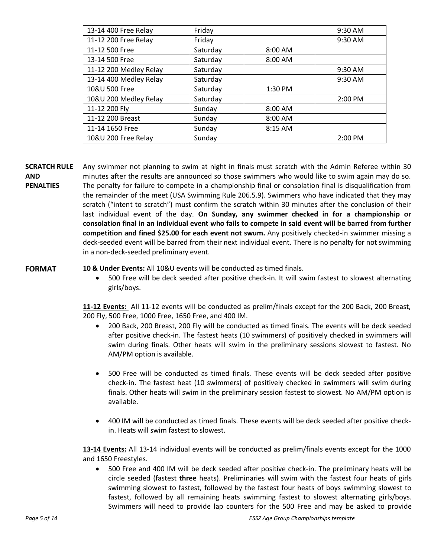| 13-14 400 Free Relay   | Friday   |         | 9:30 AM   |
|------------------------|----------|---------|-----------|
| 11-12 200 Free Relay   | Friday   |         | $9:30$ AM |
| 11-12 500 Free         | Saturday | 8:00 AM |           |
| 13-14 500 Free         | Saturday | 8:00 AM |           |
| 11-12 200 Medley Relay | Saturday |         | 9:30 AM   |
| 13-14 400 Medley Relay | Saturday |         | 9:30 AM   |
| 10&U 500 Free          | Saturday | 1:30 PM |           |
| 10&U 200 Medley Relay  | Saturday |         | 2:00 PM   |
| 11-12 200 Fly          | Sunday   | 8:00 AM |           |
| 11-12 200 Breast       | Sunday   | 8:00 AM |           |
| 11-14 1650 Free        | Sunday   | 8:15 AM |           |
| 10&U 200 Free Relay    | Sunday   |         | 2:00 PM   |

**SCRATCH RULE AND PENALTIES** Any swimmer not planning to swim at night in finals must scratch with the Admin Referee within 30 minutes after the results are announced so those swimmers who would like to swim again may do so. The penalty for failure to compete in a championship final or consolation final is disqualification from the remainder of the meet (USA Swimming Rule 206.5.9). Swimmers who have indicated that they may scratch ("intent to scratch") must confirm the scratch within 30 minutes after the conclusion of their last individual event of the day. **On Sunday, any swimmer checked in for a championship or consolation final in an individual event who fails to compete in said event will be barred from further competition and fined \$25.00 for each event not swum.** Any positively checked-in swimmer missing a deck-seeded event will be barred from their next individual event. There is no penalty for not swimming in a non-deck-seeded preliminary event.

**FORMAT 10 & Under Events:** All 10&U events will be conducted as timed finals.

· 500 Free will be deck seeded after positive check-in. It will swim fastest to slowest alternating girls/boys.

**11-12 Events:** All 11-12 events will be conducted as prelim/finals except for the 200 Back, 200 Breast, 200 Fly, 500 Free, 1000 Free, 1650 Free, and 400 IM.

- · 200 Back, 200 Breast, 200 Fly will be conducted as timed finals. The events will be deck seeded after positive check-in. The fastest heats (10 swimmers) of positively checked in swimmers will swim during finals. Other heats will swim in the preliminary sessions slowest to fastest. No AM/PM option is available.
- · 500 Free will be conducted as timed finals. These events will be deck seeded after positive check-in. The fastest heat (10 swimmers) of positively checked in swimmers will swim during finals. Other heats will swim in the preliminary session fastest to slowest. No AM/PM option is available.
- · 400 IM will be conducted as timed finals. These events will be deck seeded after positive checkin. Heats will swim fastest to slowest.

**13-14 Events:** All 13-14 individual events will be conducted as prelim/finals events except for the 1000 and 1650 Freestyles.

· 500 Free and 400 IM will be deck seeded after positive check-in. The preliminary heats will be circle seeded (fastest **three** heats). Preliminaries will swim with the fastest four heats of girls swimming slowest to fastest, followed by the fastest four heats of boys swimming slowest to fastest, followed by all remaining heats swimming fastest to slowest alternating girls/boys. Swimmers will need to provide lap counters for the 500 Free and may be asked to provide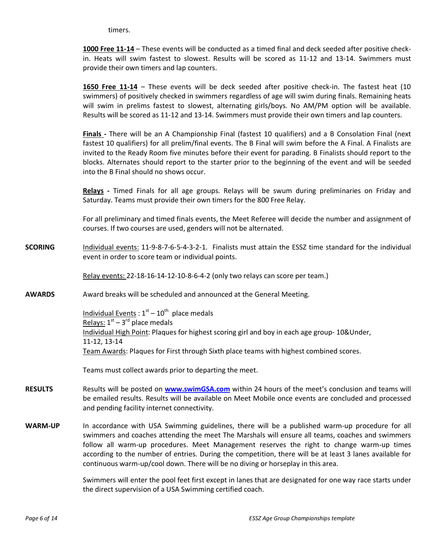timers.

**1000 Free 11-14** – These events will be conducted as a timed final and deck seeded after positive checkin. Heats will swim fastest to slowest. Results will be scored as 11-12 and 13-14. Swimmers must provide their own timers and lap counters.

**1650 Free 11-14** – These events will be deck seeded after positive check-in. The fastest heat (10 swimmers) of positively checked in swimmers regardless of age will swim during finals. Remaining heats will swim in prelims fastest to slowest, alternating girls/boys. No AM/PM option will be available. Results will be scored as 11-12 and 13-14. Swimmers must provide their own timers and lap counters.

**Finals -** There will be an A Championship Final (fastest 10 qualifiers) and a B Consolation Final (next fastest 10 qualifiers) for all prelim/final events. The B Final will swim before the A Final. A Finalists are invited to the Ready Room five minutes before their event for parading. B Finalists should report to the blocks. Alternates should report to the starter prior to the beginning of the event and will be seeded into the B Final should no shows occur.

**Relays -** Timed Finals for all age groups. Relays will be swum during preliminaries on Friday and Saturday. Teams must provide their own timers for the 800 Free Relay.

For all preliminary and timed finals events, the Meet Referee will decide the number and assignment of courses. If two courses are used, genders will not be alternated.

**SCORING** Individual events: 11-9-8-7-6-5-4-3-2-1. Finalists must attain the ESSZ time standard for the individual event in order to score team or individual points.

Relay events: 22-18-16-14-12-10-8-6-4-2 (only two relays can score per team.)

**AWARDS** Award breaks will be scheduled and announced at the General Meeting.

Individual Events :  $1<sup>st</sup> - 10<sup>th</sup>$  place medals Relays:  $1<sup>st</sup> - 3<sup>rd</sup>$  place medals Individual High Point: Plaques for highest scoring girl and boy in each age group- 10&Under, 11-12, 13-14 Team Awards: Plaques for First through Sixth place teams with highest combined scores.

Teams must collect awards prior to departing the meet.

- **RESULTS** Results will be posted on **[www.swimGSA.com](http://www.swimgsa.com/)** within 24 hours of the meet's conclusion and teams will be emailed results. Results will be available on Meet Mobile once events are concluded and processed and pending facility internet connectivity.
- **WARM-UP** In accordance with USA Swimming guidelines, there will be a published warm-up procedure for all swimmers and coaches attending the meet The Marshals will ensure all teams, coaches and swimmers follow all warm-up procedures. Meet Management reserves the right to change warm-up times according to the number of entries. During the competition, there will be at least 3 lanes available for continuous warm-up/cool down. There will be no diving or horseplay in this area.

Swimmers will enter the pool feet first except in lanes that are designated for one way race starts under the direct supervision of a USA Swimming certified coach.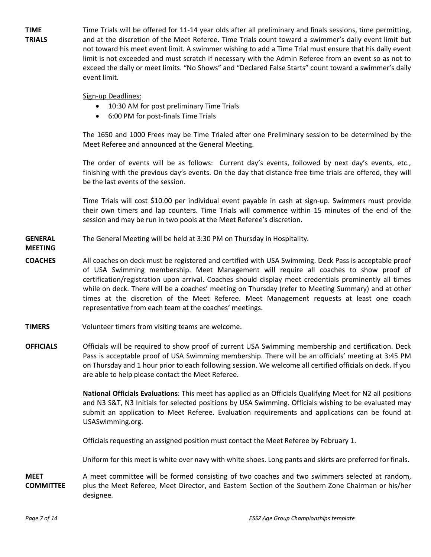**TIME TRIALS** Time Trials will be offered for 11-14 year olds after all preliminary and finals sessions, time permitting, and at the discretion of the Meet Referee. Time Trials count toward a swimmer's daily event limit but not toward his meet event limit. A swimmer wishing to add a Time Trial must ensure that his daily event limit is not exceeded and must scratch if necessary with the Admin Referee from an event so as not to exceed the daily or meet limits. "No Shows" and "Declared False Starts" count toward a swimmer's daily event limit.

#### Sign-up Deadlines:

- · 10:30 AM for post preliminary Time Trials
- · 6:00 PM for post-finals Time Trials

The 1650 and 1000 Frees may be Time Trialed after one Preliminary session to be determined by the Meet Referee and announced at the General Meeting.

The order of events will be as follows: Current day's events, followed by next day's events, etc., finishing with the previous day's events. On the day that distance free time trials are offered, they will be the last events of the session.

Time Trials will cost \$10.00 per individual event payable in cash at sign-up. Swimmers must provide their own timers and lap counters. Time Trials will commence within 15 minutes of the end of the session and may be run in two pools at the Meet Referee's discretion.

- **GENERAL**  The General Meeting will be held at 3:30 PM on Thursday in Hospitality.
- **MEETING**
- **COACHES** All coaches on deck must be registered and certified with USA Swimming. Deck Pass is acceptable proof of USA Swimming membership. Meet Management will require all coaches to show proof of certification/registration upon arrival. Coaches should display meet credentials prominently all times while on deck. There will be a coaches' meeting on Thursday (refer to Meeting Summary) and at other times at the discretion of the Meet Referee. Meet Management requests at least one coach representative from each team at the coaches' meetings.
- **TIMERS** Volunteer timers from visiting teams are welcome.
- **OFFICIALS** Officials will be required to show proof of current USA Swimming membership and certification. Deck Pass is acceptable proof of USA Swimming membership. There will be an officials' meeting at 3:45 PM on Thursday and 1 hour prior to each following session. We welcome all certified officials on deck. If you are able to help please contact the Meet Referee.

**National Officials Evaluations**: This meet has applied as an Officials Qualifying Meet for N2 all positions and N3 S&T, N3 Initials for selected positions by USA Swimming. Officials wishing to be evaluated may submit an application to Meet Referee. Evaluation requirements and applications can be found at USASwimming.org.

Officials requesting an assigned position must contact the Meet Referee by February 1.

Uniform for this meet is white over navy with white shoes. Long pants and skirts are preferred for finals.

**MEET COMMITTEE** A meet committee will be formed consisting of two coaches and two swimmers selected at random, plus the Meet Referee, Meet Director, and Eastern Section of the Southern Zone Chairman or his/her designee.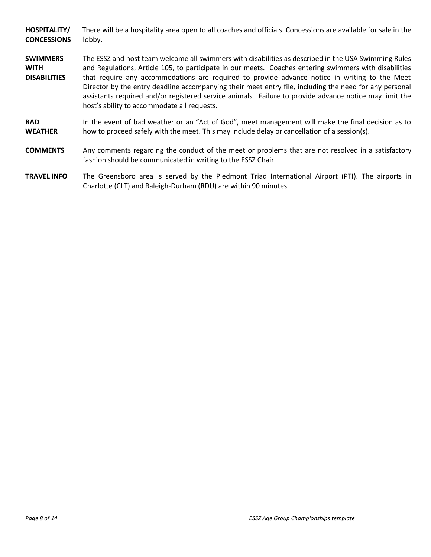**HOSPITALITY/ CONCESSIONS** There will be a hospitality area open to all coaches and officials. Concessions are available for sale in the lobby.

- **SWIMMERS WITH DISABILITIES** The ESSZ and host team welcome all swimmers with disabilities as described in the USA Swimming Rules and Regulations, Article 105, to participate in our meets. Coaches entering swimmers with disabilities that require any accommodations are required to provide advance notice in writing to the Meet Director by the entry deadline accompanying their meet entry file, including the need for any personal assistants required and/or registered service animals. Failure to provide advance notice may limit the host's ability to accommodate all requests.
- **BAD WEATHER** In the event of bad weather or an "Act of God", meet management will make the final decision as to how to proceed safely with the meet. This may include delay or cancellation of a session(s).
- **COMMENTS** Any comments regarding the conduct of the meet or problems that are not resolved in a satisfactory fashion should be communicated in writing to the ESSZ Chair.
- **TRAVEL INFO** The Greensboro area is served by the Piedmont Triad International Airport (PTI). The airports in Charlotte (CLT) and Raleigh-Durham (RDU) are within 90 minutes.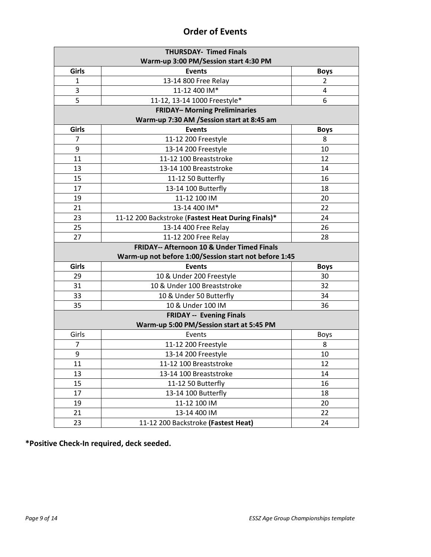## **Order of Events**

| <b>THURSDAY- Timed Finals</b>                         |                                                    |                |  |
|-------------------------------------------------------|----------------------------------------------------|----------------|--|
| Warm-up 3:00 PM/Session start 4:30 PM                 |                                                    |                |  |
| <b>Girls</b>                                          | <b>Events</b>                                      | <b>Boys</b>    |  |
| $\mathbf{1}$                                          | 13-14 800 Free Relay                               | $\overline{2}$ |  |
| 3                                                     | 11-12 400 IM*                                      | 4              |  |
| 5                                                     | 11-12, 13-14 1000 Freestyle*                       | 6              |  |
|                                                       | <b>FRIDAY-Morning Preliminaries</b>                |                |  |
|                                                       | Warm-up 7:30 AM /Session start at 8:45 am          |                |  |
| <b>Girls</b>                                          | <b>Events</b>                                      | <b>Boys</b>    |  |
| 7                                                     | 11-12 200 Freestyle                                | 8              |  |
| 9                                                     | 13-14 200 Freestyle                                | 10             |  |
| 11                                                    | 11-12 100 Breaststroke                             | 12             |  |
| 13                                                    | 13-14 100 Breaststroke                             | 14             |  |
| 15                                                    | 11-12 50 Butterfly                                 | 16             |  |
| 17                                                    | 13-14 100 Butterfly                                | 18             |  |
| 19                                                    | 11-12 100 IM                                       | 20             |  |
| 21                                                    | 13-14 400 IM*                                      | 22             |  |
| 23                                                    | 11-12 200 Backstroke (Fastest Heat During Finals)* | 24             |  |
| 25                                                    | 13-14 400 Free Relay                               | 26             |  |
| 27                                                    | 11-12 200 Free Relay                               | 28             |  |
| <b>FRIDAY-- Afternoon 10 &amp; Under Timed Finals</b> |                                                    |                |  |
| Warm-up not before 1:00/Session start not before 1:45 |                                                    |                |  |
| Girls                                                 | <b>Events</b>                                      | <b>Boys</b>    |  |
| 29                                                    | 10 & Under 200 Freestyle                           | 30             |  |
| 31                                                    | 10 & Under 100 Breaststroke                        | 32             |  |
| 33                                                    | 10 & Under 50 Butterfly                            | 34             |  |
| 35                                                    | 10 & Under 100 IM                                  | 36             |  |
|                                                       | <b>FRIDAY -- Evening Finals</b>                    |                |  |
|                                                       | Warm-up 5:00 PM/Session start at 5:45 PM           |                |  |
| Girls                                                 | Events                                             | <b>Boys</b>    |  |
| 7                                                     | 11-12 200 Freestyle                                | 8              |  |
| 9                                                     | 13-14 200 Freestyle                                | 10             |  |
| 11                                                    | 11-12 100 Breaststroke                             | 12             |  |
| 13                                                    | 13-14 100 Breaststroke                             | 14             |  |
| 15                                                    | 11-12 50 Butterfly                                 | 16             |  |
| 17                                                    | 13-14 100 Butterfly                                | 18             |  |
| 19                                                    | 11-12 100 IM                                       | 20             |  |
| 21                                                    | 13-14 400 IM                                       | 22             |  |
| 23                                                    | 11-12 200 Backstroke (Fastest Heat)                | 24             |  |

**\*Positive Check-In required, deck seeded.**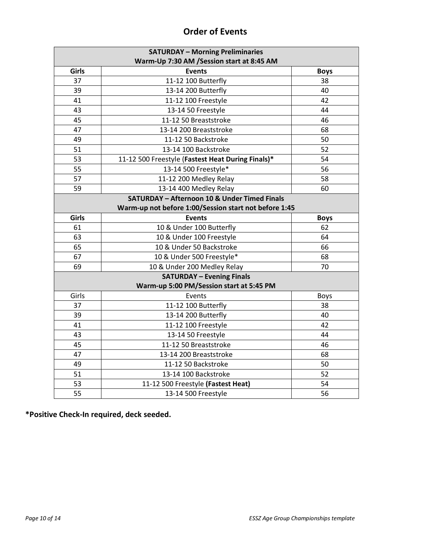| <b>SATURDAY - Morning Preliminaries</b><br>Warm-Up 7:30 AM /Session start at 8:45 AM |                                                         |             |  |  |
|--------------------------------------------------------------------------------------|---------------------------------------------------------|-------------|--|--|
| Girls                                                                                | <b>Events</b>                                           | <b>Boys</b> |  |  |
| 37                                                                                   | 11-12 100 Butterfly                                     | 38          |  |  |
| 39                                                                                   | 13-14 200 Butterfly                                     | 40          |  |  |
| 41                                                                                   | 11-12 100 Freestyle                                     | 42          |  |  |
| 43                                                                                   | 13-14 50 Freestyle                                      | 44          |  |  |
| 45                                                                                   | 11-12 50 Breaststroke                                   | 46          |  |  |
| 47                                                                                   | 13-14 200 Breaststroke                                  | 68          |  |  |
| 49                                                                                   | 11-12 50 Backstroke                                     | 50          |  |  |
| 51                                                                                   | 13-14 100 Backstroke                                    | 52          |  |  |
| 53                                                                                   | 11-12 500 Freestyle (Fastest Heat During Finals)*       | 54          |  |  |
| 55                                                                                   | 13-14 500 Freestyle*                                    | 56          |  |  |
| 57                                                                                   | 11-12 200 Medley Relay                                  | 58          |  |  |
| 59                                                                                   | 13-14 400 Medley Relay                                  | 60          |  |  |
|                                                                                      | <b>SATURDAY - Afternoon 10 &amp; Under Timed Finals</b> |             |  |  |
| Warm-up not before 1:00/Session start not before 1:45                                |                                                         |             |  |  |
| Girls                                                                                | <b>Events</b>                                           | <b>Boys</b> |  |  |
| 61                                                                                   | 10 & Under 100 Butterfly                                | 62          |  |  |
| 63                                                                                   | 10 & Under 100 Freestyle                                | 64          |  |  |
| 65                                                                                   | 10 & Under 50 Backstroke                                | 66          |  |  |
| 67                                                                                   | 10 & Under 500 Freestyle*                               | 68          |  |  |
| 69                                                                                   | 10 & Under 200 Medley Relay                             | 70          |  |  |
| <b>SATURDAY - Evening Finals</b>                                                     |                                                         |             |  |  |
|                                                                                      | Warm-up 5:00 PM/Session start at 5:45 PM                |             |  |  |
| Girls                                                                                | Events                                                  | <b>Boys</b> |  |  |
| 37                                                                                   | 11-12 100 Butterfly                                     | 38          |  |  |
| 39                                                                                   | 13-14 200 Butterfly                                     | 40          |  |  |
| 41                                                                                   | 11-12 100 Freestyle                                     | 42          |  |  |
| 43                                                                                   | 13-14 50 Freestyle                                      | 44          |  |  |
| 45                                                                                   | 11-12 50 Breaststroke                                   | 46          |  |  |
| 47                                                                                   | 13-14 200 Breaststroke                                  | 68          |  |  |
| 49                                                                                   | 11-12 50 Backstroke                                     | 50          |  |  |
| 51                                                                                   | 13-14 100 Backstroke                                    | 52          |  |  |
| 53                                                                                   | 11-12 500 Freestyle (Fastest Heat)                      | 54          |  |  |
| 55                                                                                   | 13-14 500 Freestyle                                     | 56          |  |  |

## **Order of Events**

**\*Positive Check-In required, deck seeded.**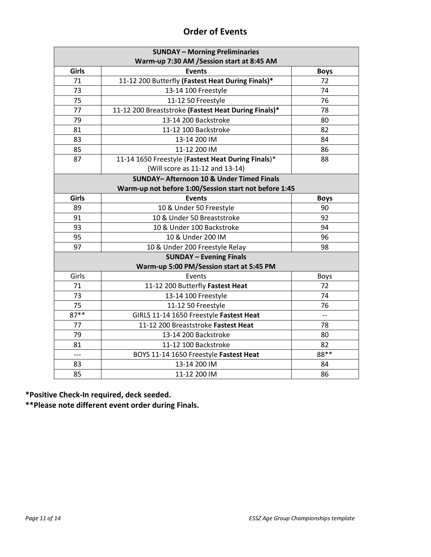|  | <b>Order of Events</b> |  |
|--|------------------------|--|
|  |                        |  |

| <b>SUNDAY - Morning Preliminaries</b>     |                                                       |                          |  |  |  |
|-------------------------------------------|-------------------------------------------------------|--------------------------|--|--|--|
| Warm-up 7:30 AM /Session start at 8:45 AM |                                                       |                          |  |  |  |
| Girls                                     | <b>Events</b>                                         | <b>Boys</b>              |  |  |  |
| 71                                        | 11-12 200 Butterfly (Fastest Heat During Finals)*     | 72                       |  |  |  |
| 73                                        | 13-14 100 Freestyle                                   | 74                       |  |  |  |
| 75                                        | 11-12 50 Freestyle                                    | 76                       |  |  |  |
| 77                                        | 11-12 200 Breaststroke (Fastest Heat During Finals)*  | 78                       |  |  |  |
| 79                                        | 13-14 200 Backstroke                                  | 80                       |  |  |  |
| 81                                        | 11-12 100 Backstroke                                  | 82                       |  |  |  |
| 83                                        | 13-14 200 IM                                          | 84                       |  |  |  |
| 85                                        | 11-12 200 IM                                          | 86                       |  |  |  |
| 87                                        | 11-14 1650 Freestyle (Fastest Heat During Finals)*    | 88                       |  |  |  |
|                                           | (Will score as 11-12 and 13-14)                       |                          |  |  |  |
|                                           | <b>SUNDAY-Afternoon 10 &amp; Under Timed Finals</b>   |                          |  |  |  |
|                                           | Warm-up not before 1:00/Session start not before 1:45 |                          |  |  |  |
| Girls                                     | <b>Events</b>                                         | <b>Boys</b>              |  |  |  |
| 89                                        | 10 & Under 50 Freestyle                               | 90                       |  |  |  |
| 91                                        | 10 & Under 50 Breaststroke                            | 92                       |  |  |  |
| 93                                        | 10 & Under 100 Backstroke                             | 94                       |  |  |  |
| 95                                        | 10 & Under 200 IM                                     | 96                       |  |  |  |
| 97                                        | 10 & Under 200 Freestyle Relay                        | 98                       |  |  |  |
|                                           | <b>SUNDAY - Evening Finals</b>                        |                          |  |  |  |
| Warm-up 5:00 PM/Session start at 5:45 PM  |                                                       |                          |  |  |  |
| Girls                                     | Events                                                | <b>Boys</b>              |  |  |  |
| 71                                        | 11-12 200 Butterfly Fastest Heat                      | 72                       |  |  |  |
| 73                                        | 13-14 100 Freestyle                                   | 74                       |  |  |  |
| 75                                        | 11-12 50 Freestyle                                    | 76                       |  |  |  |
| $87**$                                    | GIRLS 11-14 1650 Freestyle Fastest Heat               | $\overline{\phantom{a}}$ |  |  |  |
| 77                                        | 11-12 200 Breaststroke Fastest Heat                   | 78                       |  |  |  |
| 79                                        | 13-14 200 Backstroke                                  | 80                       |  |  |  |
| 81                                        | 11-12 100 Backstroke                                  | 82                       |  |  |  |
| $---$                                     | BOYS 11-14 1650 Freestyle Fastest Heat                | 88**                     |  |  |  |
| 83                                        | 13-14 200 IM                                          | 84                       |  |  |  |
| 85                                        | 11-12 200 IM                                          | 86                       |  |  |  |

**\*Positive Check-In required, deck seeded.**

**\*\*Please note different event order during Finals.**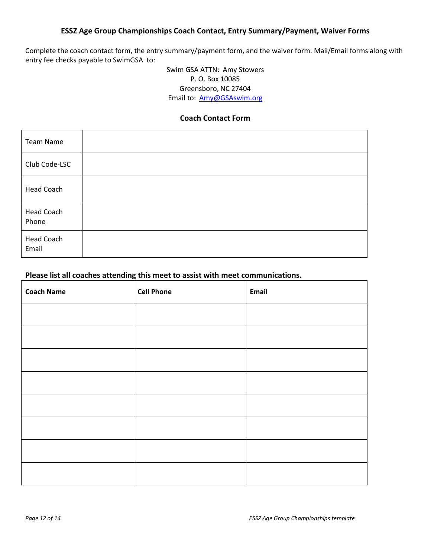### **ESSZ Age Group Championships Coach Contact, Entry Summary/Payment, Waiver Forms**

Complete the coach contact form, the entry summary/payment form, and the waiver form. Mail/Email forms along with entry fee checks payable to SwimGSA to:

> Swim GSA ATTN: Amy Stowers P. O. Box 10085 Greensboro, NC 27404 Email to: [Amy@GSAswim.org](mailto:Amy@GSAswim.org)

#### **Coach Contact Form**

| Team Name           |  |
|---------------------|--|
| Club Code-LSC       |  |
| <b>Head Coach</b>   |  |
| Head Coach<br>Phone |  |
| Head Coach<br>Email |  |

## **Please list all coaches attending this meet to assist with meet communications.**

| <b>Coach Name</b> | <b>Cell Phone</b> | Email |
|-------------------|-------------------|-------|
|                   |                   |       |
|                   |                   |       |
|                   |                   |       |
|                   |                   |       |
|                   |                   |       |
|                   |                   |       |
|                   |                   |       |
|                   |                   |       |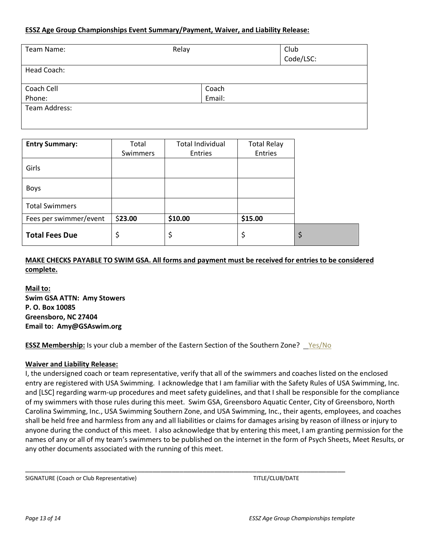#### **ESSZ Age Group Championships Event Summary/Payment, Waiver, and Liability Release:**

| Team Name:    | Relay  | Club<br>Code/LSC: |
|---------------|--------|-------------------|
| Head Coach:   |        |                   |
| Coach Cell    | Coach  |                   |
| Phone:        | Email: |                   |
| Team Address: |        |                   |

| <b>Entry Summary:</b>  | Total    | <b>Total Individual</b> | <b>Total Relay</b> |  |
|------------------------|----------|-------------------------|--------------------|--|
|                        | Swimmers | Entries                 | Entries            |  |
| Girls                  |          |                         |                    |  |
| <b>Boys</b>            |          |                         |                    |  |
| <b>Total Swimmers</b>  |          |                         |                    |  |
| Fees per swimmer/event | \$23.00  | \$10.00                 | \$15.00            |  |
| <b>Total Fees Due</b>  | \$       | \$                      | \$                 |  |

**MAKE CHECKS PAYABLE TO SWIM GSA. All forms and payment must be received for entries to be considered complete.** 

**Mail to: Swim GSA ATTN: Amy Stowers P. O. Box 10085 Greensboro, NC 27404 Email to: Amy@GSAswim.org**

**ESSZ Membership:** Is your club a member of the Eastern Section of the Southern Zone? Yes/No

\_\_\_\_\_\_\_\_\_\_\_\_\_\_\_\_\_\_\_\_\_\_\_\_\_\_\_\_\_\_\_\_\_\_\_\_\_\_\_\_\_\_\_\_\_\_\_\_\_\_\_\_\_\_\_\_\_\_\_\_\_\_\_\_\_\_\_\_\_\_\_\_\_\_\_\_\_\_\_\_\_\_\_

#### **Waiver and Liability Release:**

I, the undersigned coach or team representative, verify that all of the swimmers and coaches listed on the enclosed entry are registered with USA Swimming. I acknowledge that I am familiar with the Safety Rules of USA Swimming, Inc. and [LSC] regarding warm-up procedures and meet safety guidelines, and that I shall be responsible for the compliance of my swimmers with those rules during this meet. Swim GSA, Greensboro Aquatic Center, City of Greensboro, North Carolina Swimming, Inc., USA Swimming Southern Zone, and USA Swimming, Inc., their agents, employees, and coaches shall be held free and harmless from any and all liabilities or claims for damages arising by reason of illness or injury to anyone during the conduct of this meet. I also acknowledge that by entering this meet, I am granting permission for the names of any or all of my team's swimmers to be published on the internet in the form of Psych Sheets, Meet Results, or any other documents associated with the running of this meet.

SIGNATURE (Coach or Club Representative) TITLE/CLUB/DATE